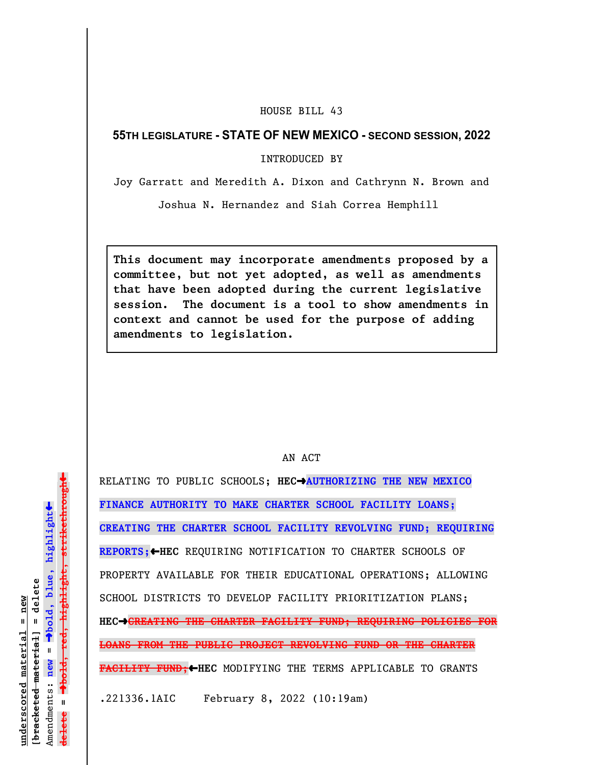## HOUSE BILL 43

## **55TH LEGISLATURE - STATE OF NEW MEXICO - SECOND SESSION, 2022**

INTRODUCED BY

Joy Garratt and Meredith A. Dixon and Cathrynn N. Brown and

Joshua N. Hernandez and Siah Correa Hemphill

**This document may incorporate amendments proposed by a committee, but not yet adopted, as well as amendments that have been adopted during the current legislative session. The document is a tool to show amendments in context and cannot be used for the purpose of adding amendments to legislation.**

## AN ACT

RELATING TO PUBLIC SCHOOLS; **HEC**º**AUTHORIZING THE NEW MEXICO FINANCE AUTHORITY TO MAKE CHARTER SCHOOL FACILITY LOANS; CREATING THE CHARTER SCHOOL FACILITY REVOLVING FUND; REQUIRING REPORTS;**»**HEC** REQUIRING NOTIFICATION TO CHARTER SCHOOLS OF PROPERTY AVAILABLE FOR THEIR EDUCATIONAL OPERATIONS; ALLOWING SCHOOL DISTRICTS TO DEVELOP FACILITY PRIORITIZATION PLANS; **HEC**º**CREATING THE CHARTER FACILITY FUND; REQUIRING POLICIES FOR LOANS FROM THE PUBLIC PROJECT REVOLVING FUND OR THE CHARTER FACILITY FUND;**»**HEC** MODIFYING THE TERMS APPLICABLE TO GRANTS .221336.1AIC February 8, 2022 (10:19am)

 $\ddag$ º**bold, red, highlight, strikethrough**  $\ddot{\bullet}$ º**bold, blue, highlight**  $b$ racketed material] = delete **[bracketed material] = delete** inderscored material = new **underscored material = new** Amendments: new = Amendments: **new** =  $\mathbf{u}$ **delete =** lelete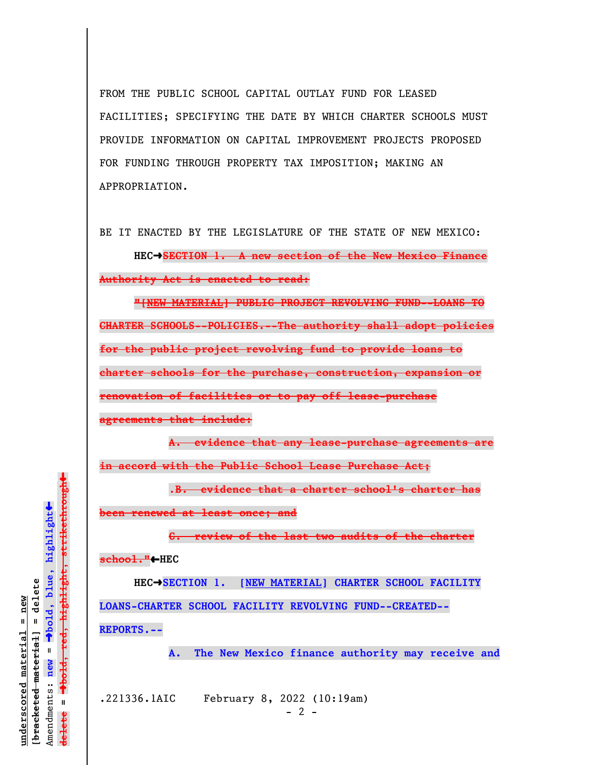FROM THE PUBLIC SCHOOL CAPITAL OUTLAY FUND FOR LEASED FACILITIES; SPECIFYING THE DATE BY WHICH CHARTER SCHOOLS MUST PROVIDE INFORMATION ON CAPITAL IMPROVEMENT PROJECTS PROPOSED FOR FUNDING THROUGH PROPERTY TAX IMPOSITION; MAKING AN APPROPRIATION.

BE IT ENACTED BY THE LEGISLATURE OF THE STATE OF NEW MEXICO:

**HEC**º**SECTION 1. A new section of the New Mexico Finance Authority Act is enacted to read:**

**"[NEW MATERIAL] PUBLIC PROJECT REVOLVING FUND--LOANS TO CHARTER SCHOOLS--POLICIES.--The authority shall adopt policies for the public project revolving fund to provide loans to charter schools for the purchase, construction, expansion or renovation of facilities or to pay off lease-purchase agreements that include:**

**A. evidence that any lease-purchase agreements are in accord with the Public School Lease Purchase Act;**

.**B. evidence that a charter school's charter has**

**been renewed at least once; and**

**C. review of the last two audits of the charter**

**school."**»**HEC** 

**HEC**º**SECTION 1. [NEW MATERIAL] CHARTER SCHOOL FACILITY LOANS-CHARTER SCHOOL FACILITY REVOLVING FUND--CREATED-- REPORTS.--**

**A. The New Mexico finance authority may receive and**

.221336.1AIC February 8, 2022 (10:19am)

º**bold, red, highlight, strikethrough**  $\ddot{\bullet}$ º**bold, blue, highlight**  $b$ racketed material] = delete **[bracketed material] = delete** inderscored material = new **underscored material = new** Amendments: new = Amendments: **new** =  $\mathbf{u}$ **delete =** lelete

 $\ddag$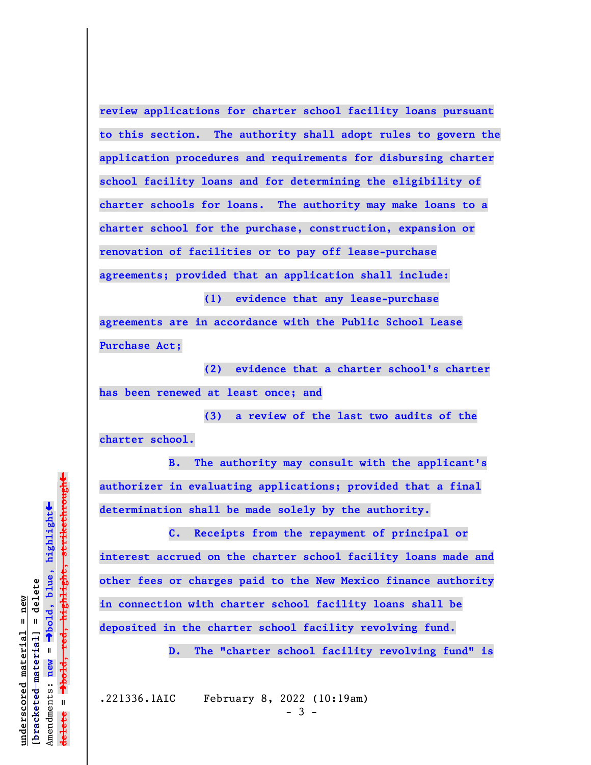**review applications for charter school facility loans pursuant to this section. The authority shall adopt rules to govern the application procedures and requirements for disbursing charter school facility loans and for determining the eligibility of charter schools for loans. The authority may make loans to a charter school for the purchase, construction, expansion or renovation of facilities or to pay off lease-purchase agreements; provided that an application shall include:**

**(1) evidence that any lease-purchase**

**agreements are in accordance with the Public School Lease Purchase Act;**

**(2) evidence that a charter school's charter has been renewed at least once; and**

**(3) a review of the last two audits of the charter school.**

**B. The authority may consult with the applicant's authorizer in evaluating applications; provided that a final determination shall be made solely by the authority.**

**C. Receipts from the repayment of principal or interest accrued on the charter school facility loans made and other fees or charges paid to the New Mexico finance authority in connection with charter school facility loans shall be deposited in the charter school facility revolving fund.**

**D. The "charter school facility revolving fund" is**

.221336.1AIC February 8, 2022 (10:19am)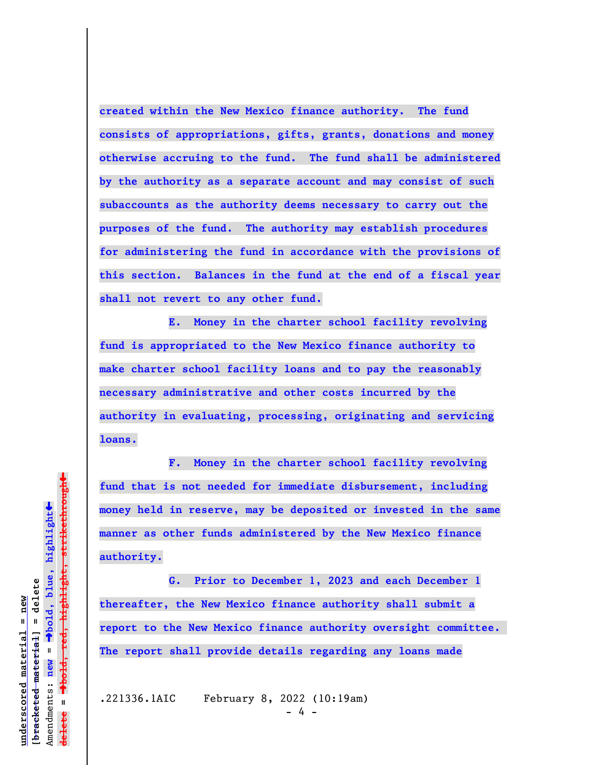**created within the New Mexico finance authority. The fund consists of appropriations, gifts, grants, donations and money otherwise accruing to the fund. The fund shall be administered by the authority as a separate account and may consist of such subaccounts as the authority deems necessary to carry out the purposes of the fund. The authority may establish procedures for administering the fund in accordance with the provisions of this section. Balances in the fund at the end of a fiscal year shall not revert to any other fund.**

**E. Money in the charter school facility revolving fund is appropriated to the New Mexico finance authority to make charter school facility loans and to pay the reasonably necessary administrative and other costs incurred by the authority in evaluating, processing, originating and servicing loans.**

**F. Money in the charter school facility revolving fund that is not needed for immediate disbursement, including money held in reserve, may be deposited or invested in the same manner as other funds administered by the New Mexico finance authority.**

**G. Prior to December 1, 2023 and each December 1 thereafter, the New Mexico finance authority shall submit a report to the New Mexico finance authority oversight committee. The report shall provide details regarding any loans made**

.221336.1AIC February 8, 2022 (10:19am)

- 4 -

 $\ddag$ º**bold, red, highlight, strikethrough**  $\ddot{\bullet}$ º**bold, blue, highlight**  $b$ racketed material] = delete **[bracketed material] = delete** inderscored material = new **underscored material = new** Amendments: new = Amendments: **new** =  $\mathbf{I}$ **delete =** lelete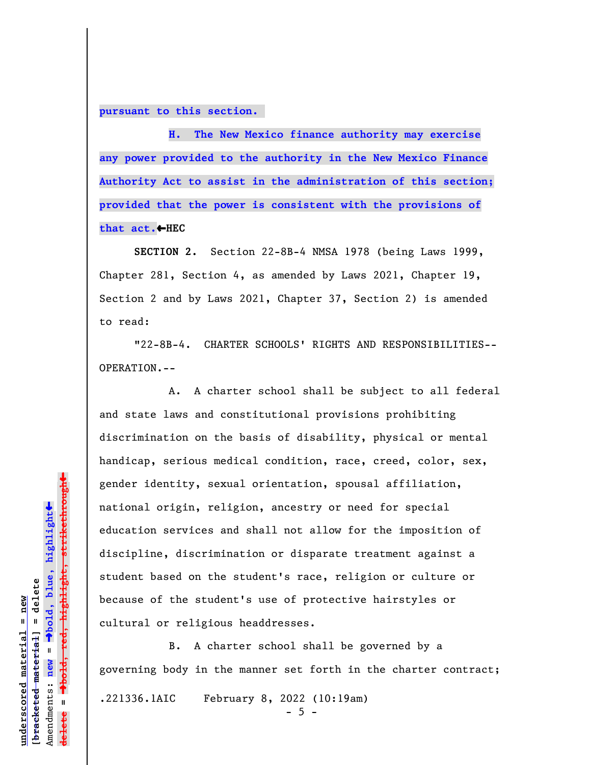**pursuant to this section.** 

**H. The New Mexico finance authority may exercise any power provided to the authority in the New Mexico Finance Authority Act to assist in the administration of this section; provided that the power is consistent with the provisions of** that act.←HEC

**SECTION 2.** Section 22-8B-4 NMSA 1978 (being Laws 1999, Chapter 281, Section 4, as amended by Laws 2021, Chapter 19, Section 2 and by Laws 2021, Chapter 37, Section 2) is amended to read:

"22-8B-4. CHARTER SCHOOLS' RIGHTS AND RESPONSIBILITIES-- OPERATION.--

A. A charter school shall be subject to all federal and state laws and constitutional provisions prohibiting discrimination on the basis of disability, physical or mental handicap, serious medical condition, race, creed, color, sex, gender identity, sexual orientation, spousal affiliation, national origin, religion, ancestry or need for special education services and shall not allow for the imposition of discipline, discrimination or disparate treatment against a student based on the student's race, religion or culture or because of the student's use of protective hairstyles or cultural or religious headdresses.

B. A charter school shall be governed by a governing body in the manner set forth in the charter contract; .221336.1AIC February 8, 2022 (10:19am)  $-5 -$ 

 $\ddag$ º**bold, red, highlight, strikethrough**  $\ddot{\bullet}$ º**bold, blue, highlight**  $b$ racketed material] = delete **[bracketed material] = delete** inderscored material = new **underscored material = new** Amendments: **new** =  $\bar{\mathbf{u}}$ Amendments: new  $\mathbf{I}$ **delete =**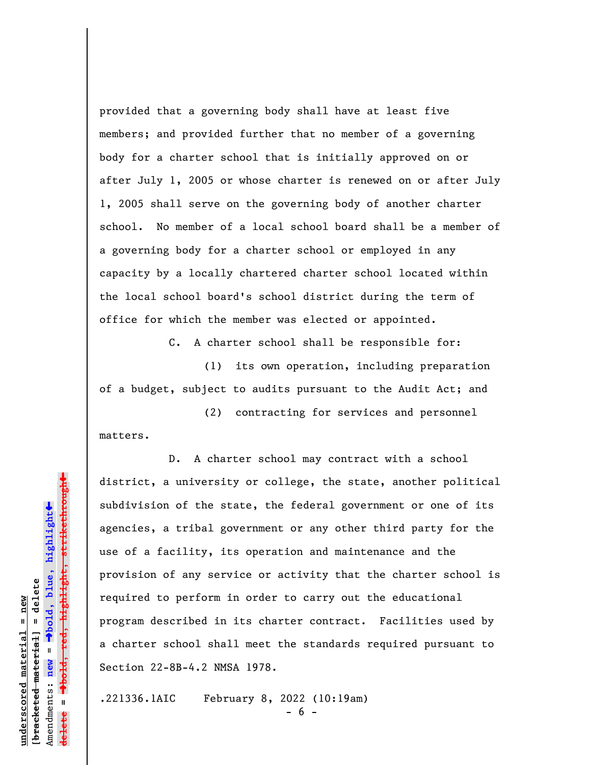provided that a governing body shall have at least five members; and provided further that no member of a governing body for a charter school that is initially approved on or after July 1, 2005 or whose charter is renewed on or after July 1, 2005 shall serve on the governing body of another charter school. No member of a local school board shall be a member of a governing body for a charter school or employed in any capacity by a locally chartered charter school located within the local school board's school district during the term of office for which the member was elected or appointed.

C. A charter school shall be responsible for:

(1) its own operation, including preparation of a budget, subject to audits pursuant to the Audit Act; and

(2) contracting for services and personnel matters.

D. A charter school may contract with a school district, a university or college, the state, another political subdivision of the state, the federal government or one of its agencies, a tribal government or any other third party for the use of a facility, its operation and maintenance and the provision of any service or activity that the charter school is required to perform in order to carry out the educational program described in its charter contract. Facilities used by a charter school shall meet the standards required pursuant to Section 22-8B-4.2 NMSA 1978.

.221336.1AIC February 8, 2022 (10:19am)

 $6 -$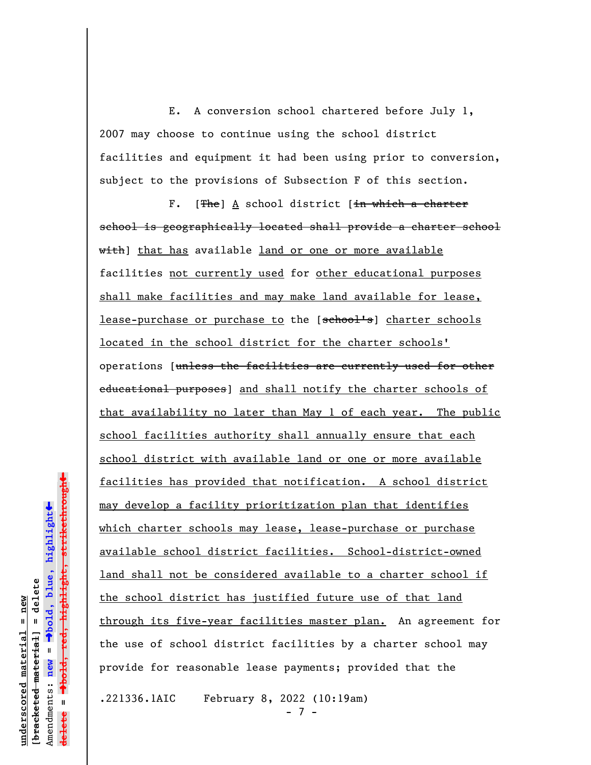E. A conversion school chartered before July 1, 2007 may choose to continue using the school district facilities and equipment it had been using prior to conversion, subject to the provisions of Subsection F of this section.

F.  $[**The**]$  A school district  $[\frac{in}{n}$  which a charter school is geographically located shall provide a charter school with] that has available land or one or more available facilities not currently used for other educational purposes shall make facilities and may make land available for lease, lease-purchase or purchase to the [school's] charter schools located in the school district for the charter schools' operations [unless the facilities are currently used for other educational purposes] and shall notify the charter schools of that availability no later than May 1 of each year. The public school facilities authority shall annually ensure that each school district with available land or one or more available facilities has provided that notification. A school district may develop a facility prioritization plan that identifies which charter schools may lease, lease-purchase or purchase available school district facilities. School-district-owned land shall not be considered available to a charter school if the school district has justified future use of that land through its five-year facilities master plan. An agreement for the use of school district facilities by a charter school may provide for reasonable lease payments; provided that the

.221336.1AIC February 8, 2022 (10:19am)

 $7 -$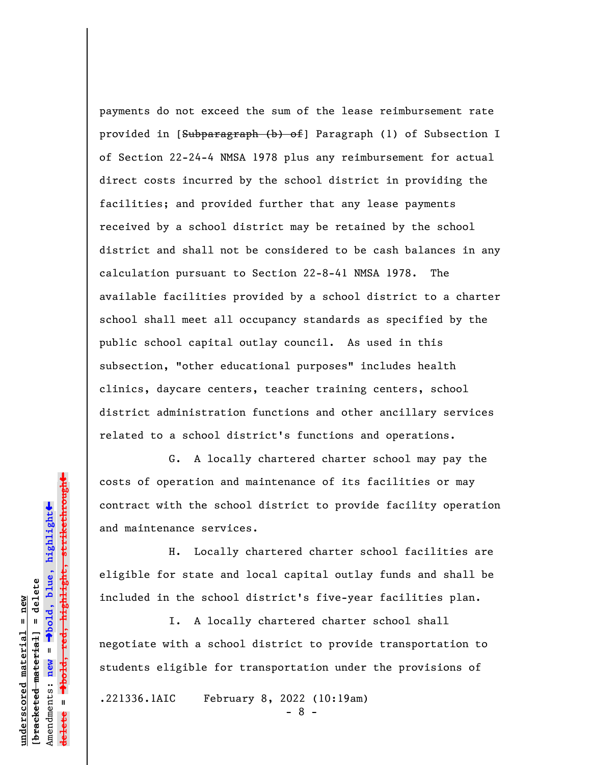payments do not exceed the sum of the lease reimbursement rate provided in [Subparagraph (b) of] Paragraph (l) of Subsection I of Section 22-24-4 NMSA 1978 plus any reimbursement for actual direct costs incurred by the school district in providing the facilities; and provided further that any lease payments received by a school district may be retained by the school district and shall not be considered to be cash balances in any calculation pursuant to Section 22-8-41 NMSA 1978. The available facilities provided by a school district to a charter school shall meet all occupancy standards as specified by the public school capital outlay council. As used in this subsection, "other educational purposes" includes health clinics, daycare centers, teacher training centers, school district administration functions and other ancillary services related to a school district's functions and operations.

G. A locally chartered charter school may pay the costs of operation and maintenance of its facilities or may contract with the school district to provide facility operation and maintenance services.

H. Locally chartered charter school facilities are eligible for state and local capital outlay funds and shall be included in the school district's five-year facilities plan.

I. A locally chartered charter school shall negotiate with a school district to provide transportation to students eligible for transportation under the provisions of

.221336.1AIC February 8, 2022 (10:19am)

- 8 -

 $\ddag$ º**bold, red, highlight, strikethrough**  $\ddot{\bullet}$ º**bold, blue, highlight** bracketed material] = delete **[bracketed material] = delete** inderscored material = new **underscored material = new** Amendments: **new** =  $\bar{\mathbf{u}}$ Amendments: new **delete =**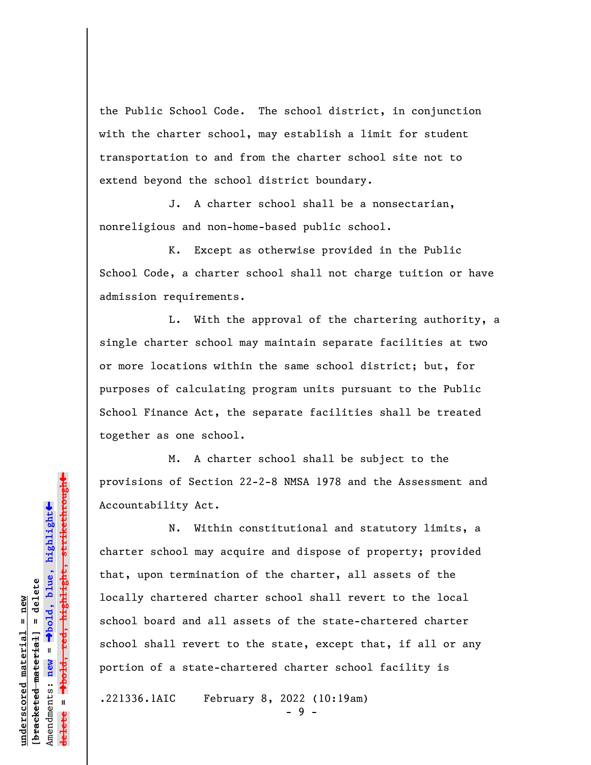the Public School Code. The school district, in conjunction with the charter school, may establish a limit for student transportation to and from the charter school site not to extend beyond the school district boundary.

J. A charter school shall be a nonsectarian, nonreligious and non-home-based public school.

K. Except as otherwise provided in the Public School Code, a charter school shall not charge tuition or have admission requirements.

L. With the approval of the chartering authority, a single charter school may maintain separate facilities at two or more locations within the same school district; but, for purposes of calculating program units pursuant to the Public School Finance Act, the separate facilities shall be treated together as one school.

M. A charter school shall be subject to the provisions of Section 22-2-8 NMSA 1978 and the Assessment and Accountability Act.

N. Within constitutional and statutory limits, a charter school may acquire and dispose of property; provided that, upon termination of the charter, all assets of the locally chartered charter school shall revert to the local school board and all assets of the state-chartered charter school shall revert to the state, except that, if all or any portion of a state-chartered charter school facility is

.221336.1AIC February 8, 2022 (10:19am)

 $-9 -$ 

highlight, strikethrough º**bold, red, highlight, strikethrough**  $\ddot{\bullet}$ º**bold, blue, highlight** bracketed material] = delete **[bracketed material] = delete** inderscored material = new **underscored material = new** Amendments: **new** =  $\mathbf{u}$ Amendments: new **delete =**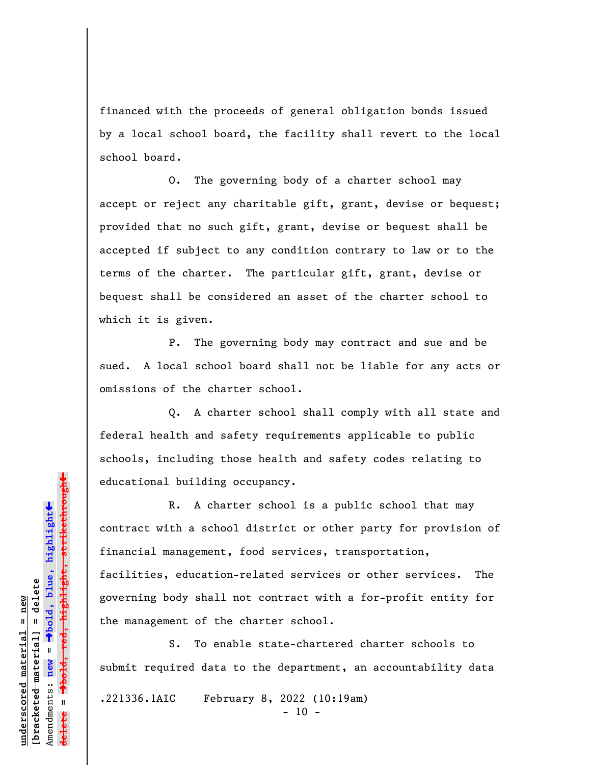financed with the proceeds of general obligation bonds issued by a local school board, the facility shall revert to the local school board.

O. The governing body of a charter school may accept or reject any charitable gift, grant, devise or bequest; provided that no such gift, grant, devise or bequest shall be accepted if subject to any condition contrary to law or to the terms of the charter. The particular gift, grant, devise or bequest shall be considered an asset of the charter school to which it is given.

P. The governing body may contract and sue and be sued. A local school board shall not be liable for any acts or omissions of the charter school.

Q. A charter school shall comply with all state and federal health and safety requirements applicable to public schools, including those health and safety codes relating to educational building occupancy.

R. A charter school is a public school that may contract with a school district or other party for provision of financial management, food services, transportation, facilities, education-related services or other services. The governing body shall not contract with a for-profit entity for the management of the charter school.

S. To enable state-chartered charter schools to submit required data to the department, an accountability data

.221336.1AIC February 8, 2022 (10:19am)

 $- 10 -$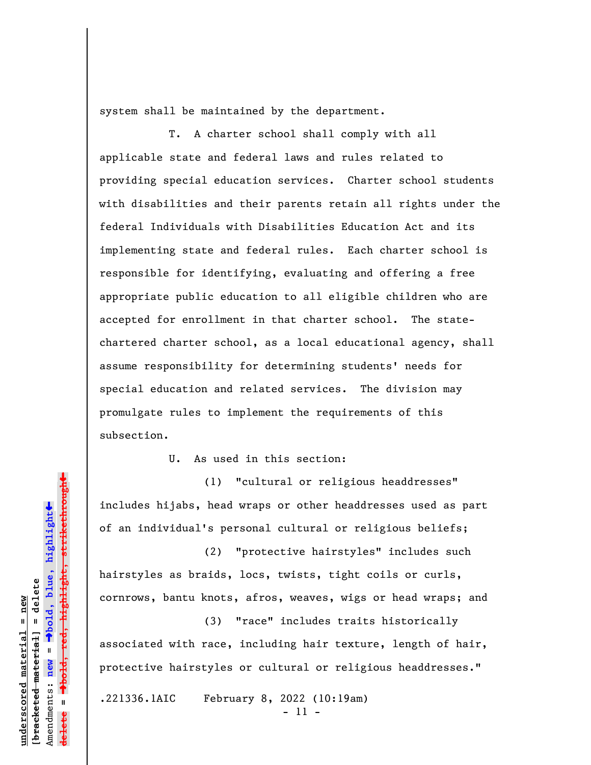system shall be maintained by the department.

T. A charter school shall comply with all applicable state and federal laws and rules related to providing special education services. Charter school students with disabilities and their parents retain all rights under the federal Individuals with Disabilities Education Act and its implementing state and federal rules. Each charter school is responsible for identifying, evaluating and offering a free appropriate public education to all eligible children who are accepted for enrollment in that charter school. The statechartered charter school, as a local educational agency, shall assume responsibility for determining students' needs for special education and related services. The division may promulgate rules to implement the requirements of this subsection.

U. As used in this section:

(1) "cultural or religious headdresses" includes hijabs, head wraps or other headdresses used as part of an individual's personal cultural or religious beliefs;

(2) "protective hairstyles" includes such hairstyles as braids, locs, twists, tight coils or curls, cornrows, bantu knots, afros, weaves, wigs or head wraps; and

(3) "race" includes traits historically associated with race, including hair texture, length of hair, protective hairstyles or cultural or religious headdresses."

.221336.1AIC February 8, 2022 (10:19am)

- 11 -

»º**bold, red, highlight, strikethrough** highlight, strikethrou  $\ddot{\bullet}$ º**bold, blue, highlight** bracketed material] = delete **[bracketed material] = delete** inderscored material = new **underscored material = new** Amendments: **new** =  $\bar{\mathbf{u}}$ Amendments: new **delete =**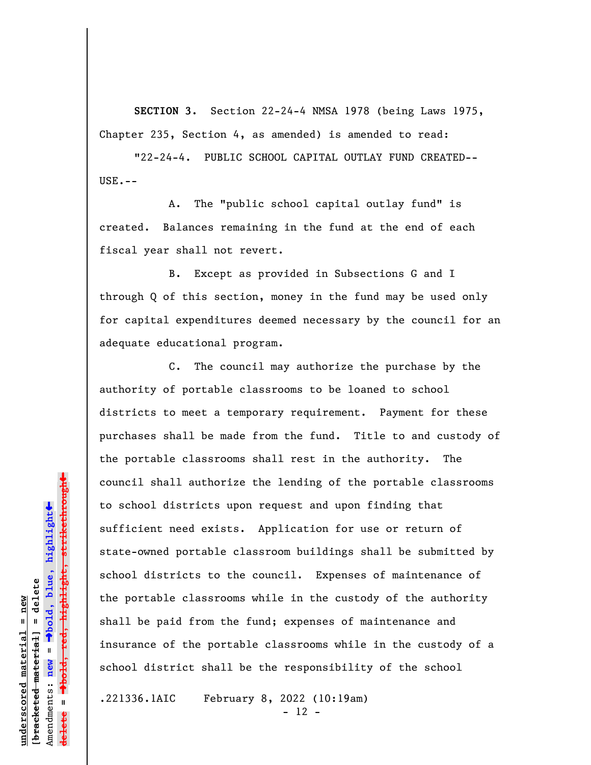**SECTION 3.** Section 22-24-4 NMSA 1978 (being Laws 1975, Chapter 235, Section 4, as amended) is amended to read:

"22-24-4. PUBLIC SCHOOL CAPITAL OUTLAY FUND CREATED--  $USE. - -$ 

A. The "public school capital outlay fund" is created. Balances remaining in the fund at the end of each fiscal year shall not revert.

B. Except as provided in Subsections G and I through Q of this section, money in the fund may be used only for capital expenditures deemed necessary by the council for an adequate educational program.

C. The council may authorize the purchase by the authority of portable classrooms to be loaned to school districts to meet a temporary requirement. Payment for these purchases shall be made from the fund. Title to and custody of the portable classrooms shall rest in the authority. The council shall authorize the lending of the portable classrooms to school districts upon request and upon finding that sufficient need exists. Application for use or return of state-owned portable classroom buildings shall be submitted by school districts to the council. Expenses of maintenance of the portable classrooms while in the custody of the authority shall be paid from the fund; expenses of maintenance and insurance of the portable classrooms while in the custody of a school district shall be the responsibility of the school

.221336.1AIC February 8, 2022 (10:19am)

- 12 -

 $\ddag$ º**bold, red, highlight, strikethrough**  $\ddot{\bullet}$ º**bold, blue, highlight** bracketed material] = delete **[bracketed material] = delete** inderscored material = new **underscored material = new** Amendments: **new** =  $\mathbf{u}$ Amendments: new **delete =**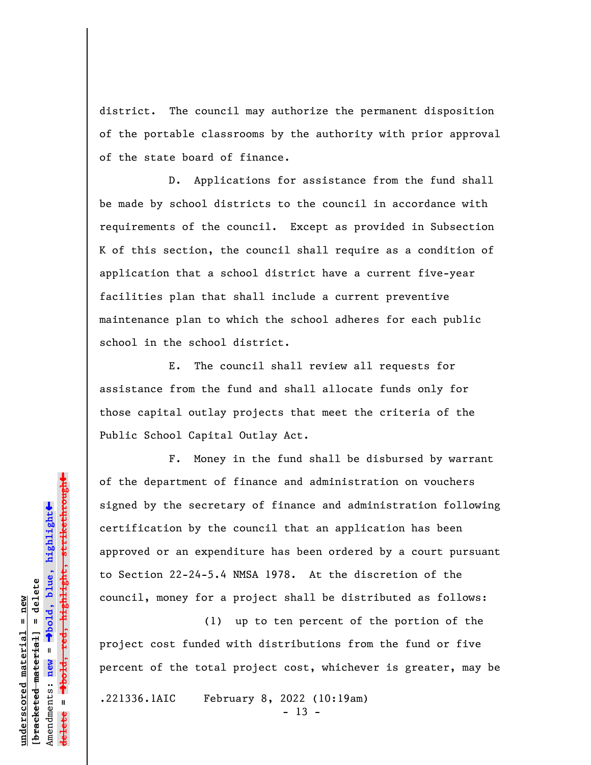district. The council may authorize the permanent disposition of the portable classrooms by the authority with prior approval of the state board of finance.

D. Applications for assistance from the fund shall be made by school districts to the council in accordance with requirements of the council. Except as provided in Subsection K of this section, the council shall require as a condition of application that a school district have a current five-year facilities plan that shall include a current preventive maintenance plan to which the school adheres for each public school in the school district.

E. The council shall review all requests for assistance from the fund and shall allocate funds only for those capital outlay projects that meet the criteria of the Public School Capital Outlay Act.

F. Money in the fund shall be disbursed by warrant of the department of finance and administration on vouchers signed by the secretary of finance and administration following certification by the council that an application has been approved or an expenditure has been ordered by a court pursuant to Section 22-24-5.4 NMSA 1978. At the discretion of the council, money for a project shall be distributed as follows:

(1) up to ten percent of the portion of the project cost funded with distributions from the fund or five percent of the total project cost, whichever is greater, may be

.221336.1AIC February 8, 2022 (10:19am)

 $- 13 -$ 

 $\ddag$ º**bold, red, highlight, strikethrough**  $\ddot{\bullet}$ º**bold, blue, highlight**  $b$ racketed material] = delete **[bracketed material] = delete** inderscored material = new **underscored material = new** Amendments: **new** =  $\mathbf{u}$ Amendments: new **delete =**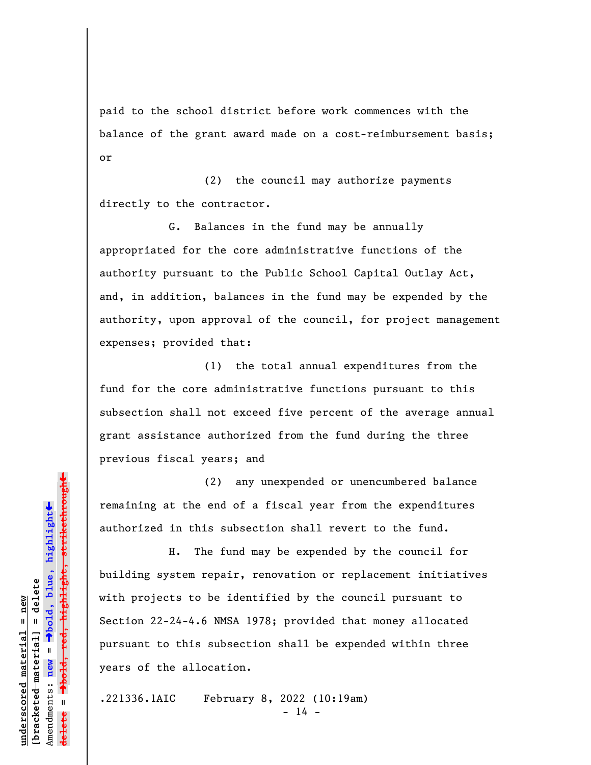paid to the school district before work commences with the balance of the grant award made on a cost-reimbursement basis; or

(2) the council may authorize payments directly to the contractor.

G. Balances in the fund may be annually appropriated for the core administrative functions of the authority pursuant to the Public School Capital Outlay Act, and, in addition, balances in the fund may be expended by the authority, upon approval of the council, for project management expenses; provided that:

(1) the total annual expenditures from the fund for the core administrative functions pursuant to this subsection shall not exceed five percent of the average annual grant assistance authorized from the fund during the three previous fiscal years; and

(2) any unexpended or unencumbered balance remaining at the end of a fiscal year from the expenditures authorized in this subsection shall revert to the fund.

H. The fund may be expended by the council for building system repair, renovation or replacement initiatives with projects to be identified by the council pursuant to Section 22-24-4.6 NMSA 1978; provided that money allocated pursuant to this subsection shall be expended within three years of the allocation.

.221336.1AIC February 8, 2022 (10:19am)  $- 14 -$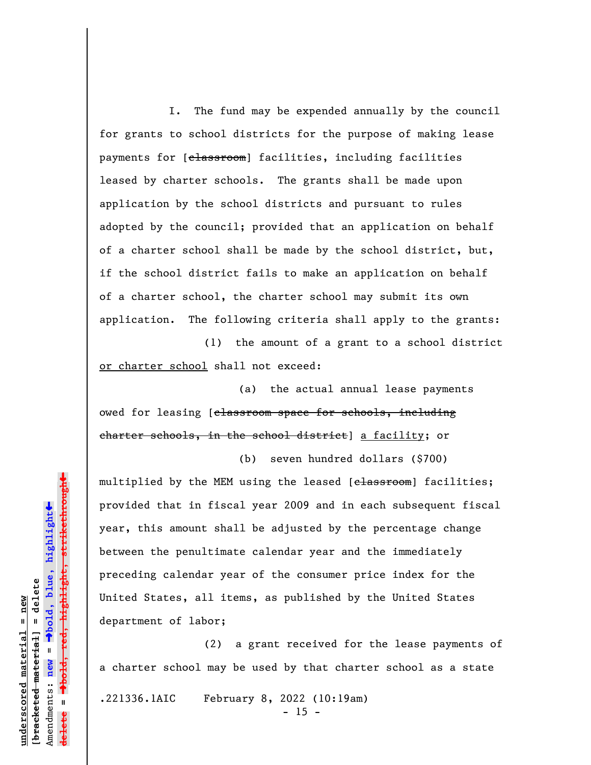I. The fund may be expended annually by the council for grants to school districts for the purpose of making lease payments for [classroom] facilities, including facilities leased by charter schools. The grants shall be made upon application by the school districts and pursuant to rules adopted by the council; provided that an application on behalf of a charter school shall be made by the school district, but, if the school district fails to make an application on behalf of a charter school, the charter school may submit its own application. The following criteria shall apply to the grants:

(1) the amount of a grant to a school district or charter school shall not exceed:

(a) the actual annual lease payments owed for leasing [classroom space for schools, including charter schools, in the school district] a facility; or

multiplied by the MEM using the leased [classroom] facilities; provided that in fiscal year 2009 and in each subsequent fiscal year, this amount shall be adjusted by the percentage change between the penultimate calendar year and the immediately preceding calendar year of the consumer price index for the United States, all items, as published by the United States department of labor;

(b) seven hundred dollars (\$700)

(2) a grant received for the lease payments of a charter school may be used by that charter school as a state

.221336.1AIC February 8, 2022 (10:19am)

 $- 15 -$ 

»º**bold, red, highlight, strikethrough** highlight, strikethrough  $\ddot{\bullet}$ º**bold, blue, highlight** bracketed material] = delete **[bracketed material] = delete** inderscored material = new **underscored material = new** Amendments: **new** =  $\mathbf{I}$ Amendments: new **delete =**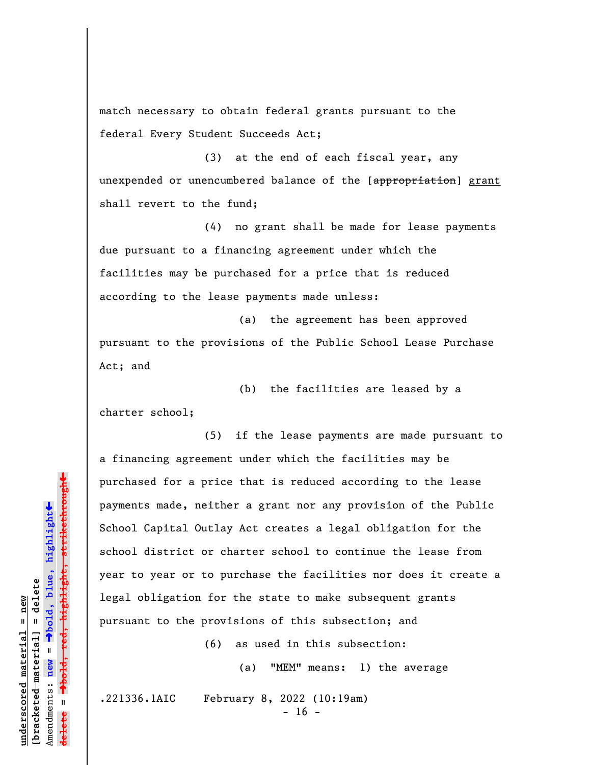match necessary to obtain federal grants pursuant to the federal Every Student Succeeds Act;

(3) at the end of each fiscal year, any unexpended or unencumbered balance of the [appropriation] grant shall revert to the fund;

(4) no grant shall be made for lease payments due pursuant to a financing agreement under which the facilities may be purchased for a price that is reduced according to the lease payments made unless:

(a) the agreement has been approved pursuant to the provisions of the Public School Lease Purchase Act; and

(b) the facilities are leased by a charter school;

(5) if the lease payments are made pursuant to a financing agreement under which the facilities may be purchased for a price that is reduced according to the lease payments made, neither a grant nor any provision of the Public School Capital Outlay Act creates a legal obligation for the school district or charter school to continue the lease from year to year or to purchase the facilities nor does it create a legal obligation for the state to make subsequent grants pursuant to the provisions of this subsection; and

(6) as used in this subsection:

(a) "MEM" means: 1) the average

.221336.1AIC February 8, 2022 (10:19am)

 $- 16 -$ 

º**bold, red, highlight, strikethrough** highlight, strikethrough  $\ddot{\bullet}$ º**bold, blue, highlight** bracketed material] = delete **[bracketed material] = delete** inderscored material = new **underscored material = new** Amendments: **new** =  $\mathbf{I}$ Amendments: new **delete =**

»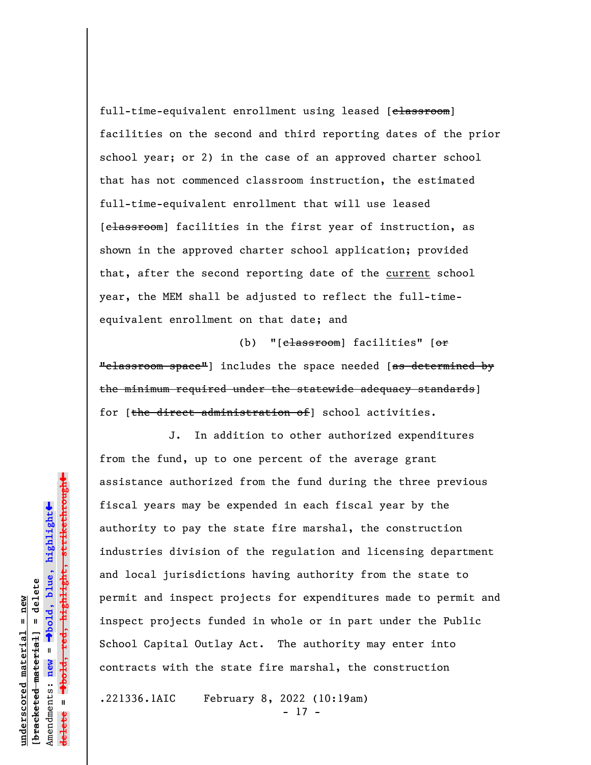full-time-equivalent enrollment using leased [classroom] facilities on the second and third reporting dates of the prior school year; or 2) in the case of an approved charter school that has not commenced classroom instruction, the estimated full-time-equivalent enrollment that will use leased [classroom] facilities in the first year of instruction, as shown in the approved charter school application; provided that, after the second reporting date of the current school year, the MEM shall be adjusted to reflect the full-timeequivalent enrollment on that date; and

(b) "[classroom] facilities" [or "classroom space"] includes the space needed [as determined by the minimum required under the statewide adequacy standards] for [the direct administration of] school activities.

J. In addition to other authorized expenditures from the fund, up to one percent of the average grant assistance authorized from the fund during the three previous fiscal years may be expended in each fiscal year by the authority to pay the state fire marshal, the construction industries division of the regulation and licensing department and local jurisdictions having authority from the state to permit and inspect projects for expenditures made to permit and inspect projects funded in whole or in part under the Public School Capital Outlay Act. The authority may enter into contracts with the state fire marshal, the construction

.221336.1AIC February 8, 2022 (10:19am)

- 17 -

Dold, red, highlight, strikethrough º**bold, red, highlight, strikethrough**  $\ddot{\bullet}$ º**bold, blue, highlight**  $b$ racketed material] = delete **[bracketed material] = delete** inderscored material = new **underscored material = new** Amendments: **new** =  $\mathbf{I}$ Amendments: new **delete =**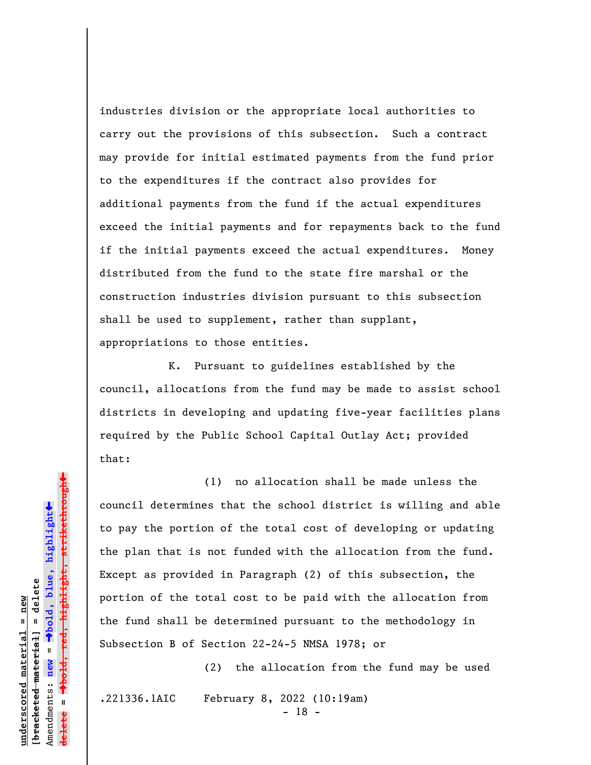industries division or the appropriate local authorities to carry out the provisions of this subsection. Such a contract may provide for initial estimated payments from the fund prior to the expenditures if the contract also provides for additional payments from the fund if the actual expenditures exceed the initial payments and for repayments back to the fund if the initial payments exceed the actual expenditures. Money distributed from the fund to the state fire marshal or the construction industries division pursuant to this subsection shall be used to supplement, rather than supplant, appropriations to those entities.

K. Pursuant to guidelines established by the council, allocations from the fund may be made to assist school districts in developing and updating five-year facilities plans required by the Public School Capital Outlay Act; provided that:

(1) no allocation shall be made unless the council determines that the school district is willing and able to pay the portion of the total cost of developing or updating the plan that is not funded with the allocation from the fund. Except as provided in Paragraph (2) of this subsection, the portion of the total cost to be paid with the allocation from the fund shall be determined pursuant to the methodology in Subsection B of Section 22-24-5 NMSA 1978; or

(2) the allocation from the fund may be used .221336.1AIC February 8, 2022 (10:19am)

- 18 -

»º**bold, red, highlight, strikethrough** <del>highlight,strikethrou</del>  $\ddot{\bullet}$ º**bold, blue, highlight** bracketed material] = delete **[bracketed material] = delete** inderscored material = new **underscored material = new** Amendments: **new** =  $\mathbf{u}$ Amendments: new **delete =**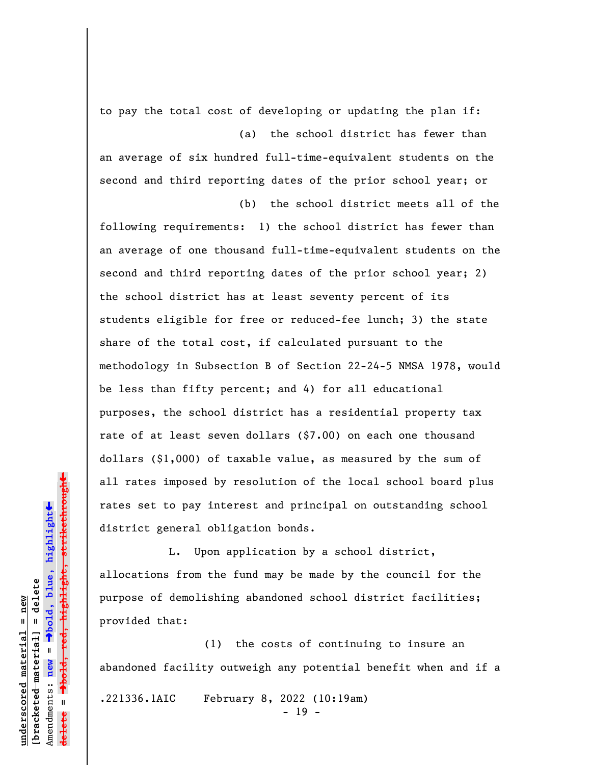to pay the total cost of developing or updating the plan if:

(a) the school district has fewer than an average of six hundred full-time-equivalent students on the second and third reporting dates of the prior school year; or (b) the school district meets all of the

following requirements: 1) the school district has fewer than an average of one thousand full-time-equivalent students on the second and third reporting dates of the prior school year; 2) the school district has at least seventy percent of its students eligible for free or reduced-fee lunch; 3) the state share of the total cost, if calculated pursuant to the methodology in Subsection B of Section 22-24-5 NMSA 1978, would be less than fifty percent; and 4) for all educational purposes, the school district has a residential property tax rate of at least seven dollars (\$7.00) on each one thousand dollars (\$1,000) of taxable value, as measured by the sum of all rates imposed by resolution of the local school board plus rates set to pay interest and principal on outstanding school district general obligation bonds.

L. Upon application by a school district, allocations from the fund may be made by the council for the purpose of demolishing abandoned school district facilities; provided that:

(1) the costs of continuing to insure an abandoned facility outweigh any potential benefit when and if a .221336.1AIC February 8, 2022 (10:19am)

- 19 -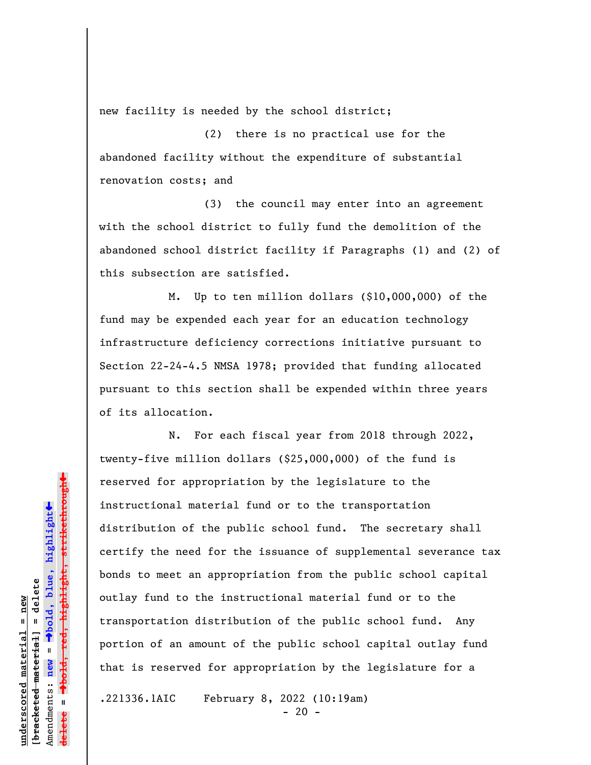new facility is needed by the school district;

(2) there is no practical use for the abandoned facility without the expenditure of substantial renovation costs; and

(3) the council may enter into an agreement with the school district to fully fund the demolition of the abandoned school district facility if Paragraphs (1) and (2) of this subsection are satisfied.

M. Up to ten million dollars (\$10,000,000) of the fund may be expended each year for an education technology infrastructure deficiency corrections initiative pursuant to Section 22-24-4.5 NMSA 1978; provided that funding allocated pursuant to this section shall be expended within three years of its allocation.

N. For each fiscal year from 2018 through 2022, twenty-five million dollars (\$25,000,000) of the fund is reserved for appropriation by the legislature to the instructional material fund or to the transportation distribution of the public school fund. The secretary shall certify the need for the issuance of supplemental severance tax bonds to meet an appropriation from the public school capital outlay fund to the instructional material fund or to the transportation distribution of the public school fund. Any portion of an amount of the public school capital outlay fund that is reserved for appropriation by the legislature for a

.221336.1AIC February 8, 2022 (10:19am)

 $- 20 -$ 

 $\ddag$ º**bold, red, highlight, strikethrough**  $\ddot{\bullet}$ º**bold, blue, highlight**  $b$ racketed material] = delete **[bracketed material] = delete** inderscored material = new **underscored material = new** Amendments: **new** =  $\mathbf{I}$ Amendments: new **delete =**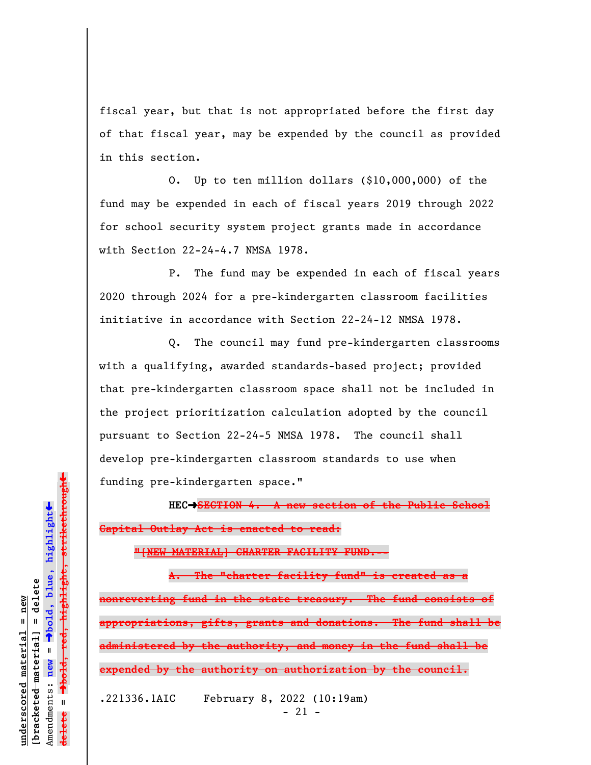fiscal year, but that is not appropriated before the first day of that fiscal year, may be expended by the council as provided in this section.

O. Up to ten million dollars (\$10,000,000) of the fund may be expended in each of fiscal years 2019 through 2022 for school security system project grants made in accordance with Section 22-24-4.7 NMSA 1978.

P. The fund may be expended in each of fiscal years 2020 through 2024 for a pre-kindergarten classroom facilities initiative in accordance with Section 22-24-12 NMSA 1978.

Q. The council may fund pre-kindergarten classrooms with a qualifying, awarded standards-based project; provided that pre-kindergarten classroom space shall not be included in the project prioritization calculation adopted by the council pursuant to Section 22-24-5 NMSA 1978. The council shall develop pre-kindergarten classroom standards to use when funding pre-kindergarten space."

**HEC**º**SECTION 4. A new section of the Public School Capital Outlay Act is enacted to read:**

**"[NEW MATERIAL] CHARTER FACILITY FUND.--**

**A. The "charter facility fund" is created as a nonreverting fund in the state treasury. The fund consists of appropriations, gifts, grants and donations. The fund shall be administered by the authority, and money in the fund shall be expended by the authority on authorization by the council.**

.221336.1AIC February 8, 2022 (10:19am) - 21 -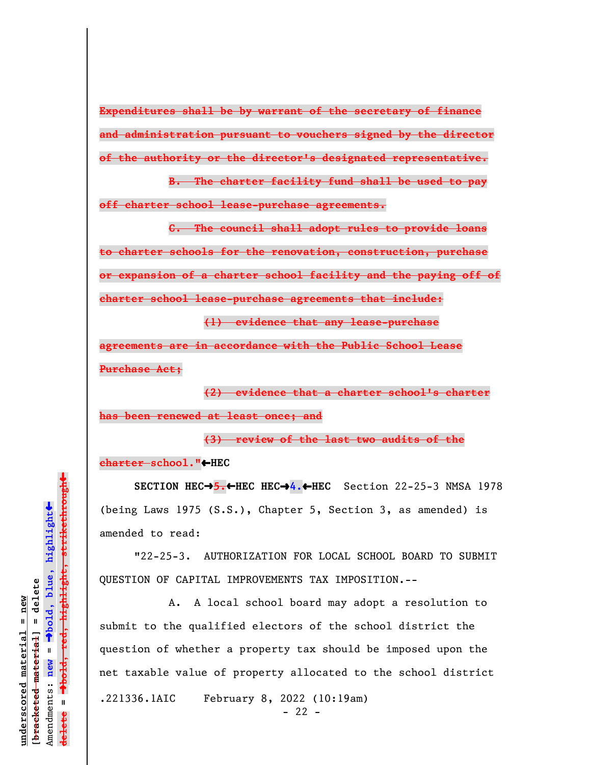**Expenditures shall be by warrant of the secretary of finance and administration pursuant to vouchers signed by the director of the authority or the director's designated representative.**

**B. The charter facility fund shall be used to pay off charter school lease-purchase agreements.**

**C. The council shall adopt rules to provide loans to charter schools for the renovation, construction, purchase or expansion of a charter school facility and the paying off of charter school lease-purchase agreements that include: (1) evidence that any lease-purchase**

**agreements are in accordance with the Public School Lease Purchase Act;**

**(2) evidence that a charter school's charter has been renewed at least once; and**

**(3) review of the last two audits of the charter school."**»**HEC**

**SECTION HEC**º**5.**»**HEC HEC**º**4.**»**HEC** Section 22-25-3 NMSA 1978 (being Laws 1975 (S.S.), Chapter 5, Section 3, as amended) is amended to read:

"22-25-3. AUTHORIZATION FOR LOCAL SCHOOL BOARD TO SUBMIT QUESTION OF CAPITAL IMPROVEMENTS TAX IMPOSITION.--

A. A local school board may adopt a resolution to submit to the qualified electors of the school district the question of whether a property tax should be imposed upon the net taxable value of property allocated to the school district .221336.1AIC February 8, 2022 (10:19am)  $- 22 -$ 

º**bold, red, highlight, strikethrough**  $\ddot{\bullet}$ º**bold, blue, highlight**  $b$ racketed material] = delete **[bracketed material] = delete** inderscored material = new **underscored material = new** Amendments: **new** =  $\mathbf{I}$ Amendments: new  $\mathbf{u}$ **delete =** lelete

 $\ddag$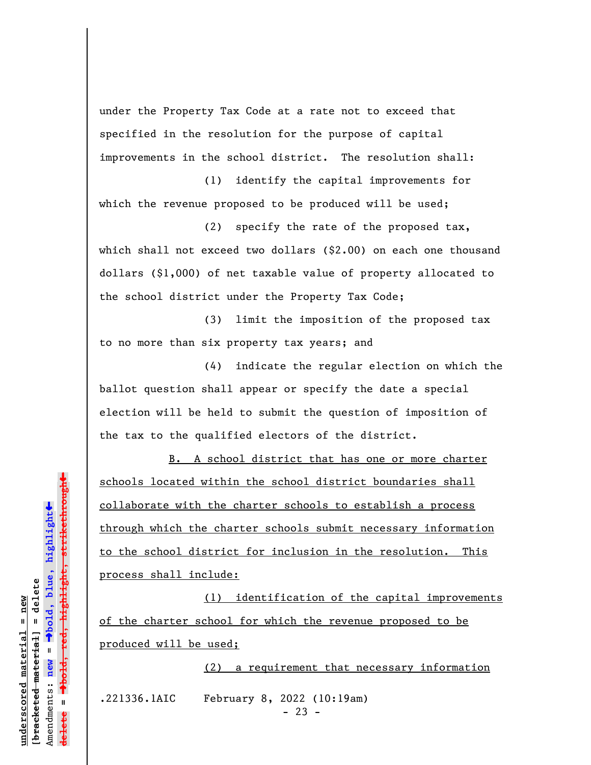under the Property Tax Code at a rate not to exceed that specified in the resolution for the purpose of capital improvements in the school district. The resolution shall:

(1) identify the capital improvements for which the revenue proposed to be produced will be used;

(2) specify the rate of the proposed tax, which shall not exceed two dollars (\$2.00) on each one thousand dollars (\$1,000) of net taxable value of property allocated to the school district under the Property Tax Code;

(3) limit the imposition of the proposed tax to no more than six property tax years; and

(4) indicate the regular election on which the ballot question shall appear or specify the date a special election will be held to submit the question of imposition of the tax to the qualified electors of the district.

B. A school district that has one or more charter schools located within the school district boundaries shall collaborate with the charter schools to establish a process through which the charter schools submit necessary information to the school district for inclusion in the resolution. This process shall include:

(1) identification of the capital improvements of the charter school for which the revenue proposed to be produced will be used;

(2) a requirement that necessary information

.221336.1AIC February 8, 2022 (10:19am)

 $- 23 -$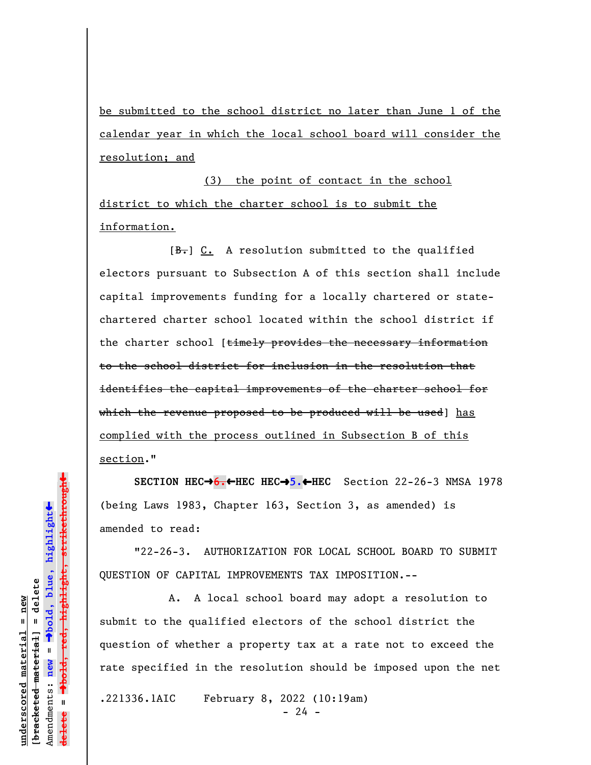be submitted to the school district no later than June 1 of the calendar year in which the local school board will consider the resolution; and

(3) the point of contact in the school district to which the charter school is to submit the information.

[B.] C. A resolution submitted to the qualified electors pursuant to Subsection A of this section shall include capital improvements funding for a locally chartered or statechartered charter school located within the school district if the charter school [timely provides the necessary information to the school district for inclusion in the resolution that identifies the capital improvements of the charter school for which the revenue proposed to be produced will be used] has complied with the process outlined in Subsection B of this section."

**SECTION HEC**º**6.**»**HEC HEC**º**5.**»**HEC** Section 22-26-3 NMSA 1978 (being Laws 1983, Chapter 163, Section 3, as amended) is amended to read:

"22-26-3. AUTHORIZATION FOR LOCAL SCHOOL BOARD TO SUBMIT QUESTION OF CAPITAL IMPROVEMENTS TAX IMPOSITION.--

A. A local school board may adopt a resolution to submit to the qualified electors of the school district the question of whether a property tax at a rate not to exceed the rate specified in the resolution should be imposed upon the net

.221336.1AIC February 8, 2022 (10:19am)

 $- 24 -$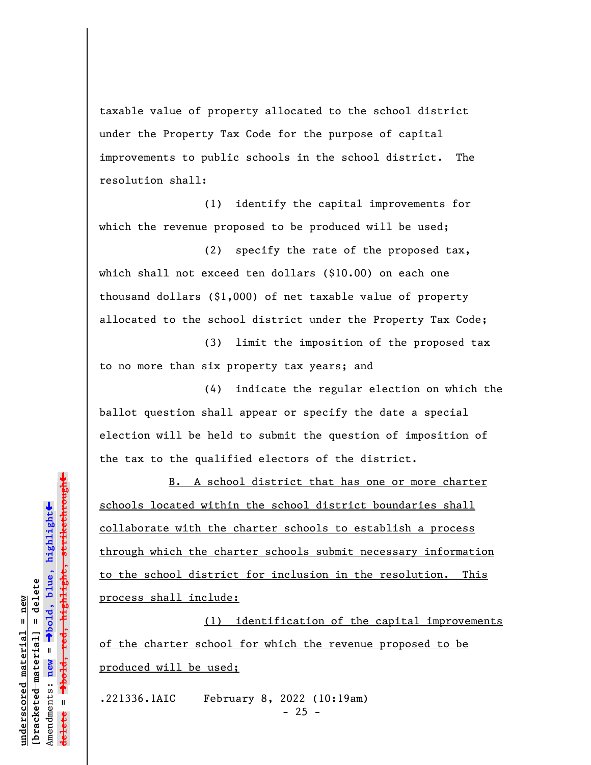taxable value of property allocated to the school district under the Property Tax Code for the purpose of capital improvements to public schools in the school district. The resolution shall:

(1) identify the capital improvements for which the revenue proposed to be produced will be used;

(2) specify the rate of the proposed tax, which shall not exceed ten dollars (\$10.00) on each one thousand dollars (\$1,000) of net taxable value of property allocated to the school district under the Property Tax Code;

(3) limit the imposition of the proposed tax to no more than six property tax years; and

(4) indicate the regular election on which the ballot question shall appear or specify the date a special election will be held to submit the question of imposition of the tax to the qualified electors of the district.

B. A school district that has one or more charter schools located within the school district boundaries shall collaborate with the charter schools to establish a process through which the charter schools submit necessary information to the school district for inclusion in the resolution. This process shall include:

(1) identification of the capital improvements of the charter school for which the revenue proposed to be produced will be used;

.221336.1AIC February 8, 2022 (10:19am)  $- 25 -$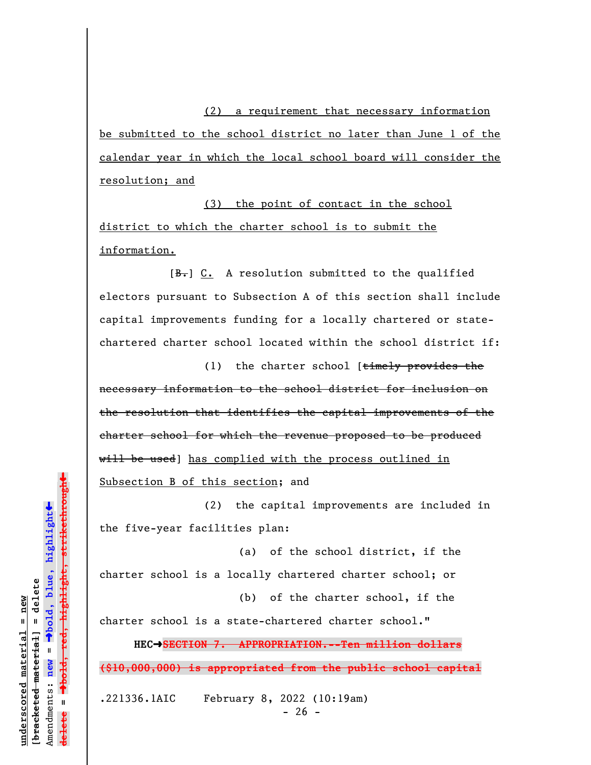(2) a requirement that necessary information be submitted to the school district no later than June 1 of the calendar year in which the local school board will consider the resolution; and

(3) the point of contact in the school district to which the charter school is to submit the information.

 $[B<sub>1</sub>]$  C. A resolution submitted to the qualified electors pursuant to Subsection A of this section shall include capital improvements funding for a locally chartered or statechartered charter school located within the school district if:

(1) the charter school [timely provides the necessary information to the school district for inclusion on the resolution that identifies the capital improvements of the charter school for which the revenue proposed to be produced will be used] has complied with the process outlined in Subsection B of this section; and

(2) the capital improvements are included in the five-year facilities plan:

(a) of the school district, if the charter school is a locally chartered charter school; or (b) of the charter school, if the

charter school is a state-chartered charter school." **HEC**º**SECTION 7. APPROPRIATION.--Ten million dollars**

**(\$10,000,000) is appropriated from the public school capital**

.221336.1AIC February 8, 2022 (10:19am)

 $- 26 -$